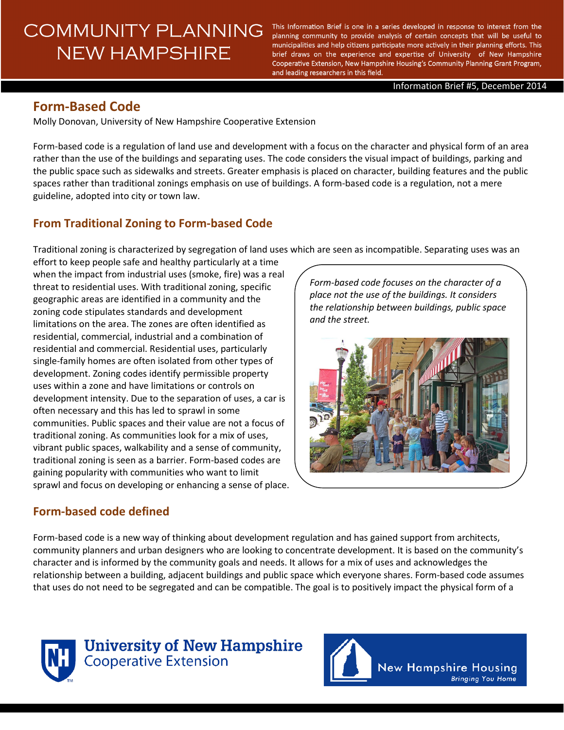# **COMMUNITY PLANNING NEW HAMPSHIRE**

This Information Brief is one in a series developed in response to interest from the planning community to provide analysis of certain concepts that will be useful to municipalities and help citizens participate more actively in their planning efforts. This brief draws on the experience and expertise of University of New Hampshire Cooperative Extension, New Hampshire Housing's Community Planning Grant Program, and leading researchers in this field.

Information Brief #5, December 2014

# **Form-Based Code**

Molly Donovan, University of New Hampshire Cooperative Extension

Form-based code is a regulation of land use and development with a focus on the character and physical form of an area rather than the use of the buildings and separating uses. The code considers the visual impact of buildings, parking and the public space such as sidewalks and streets. Greater emphasis is placed on character, building features and the public spaces rather than traditional zonings emphasis on use of buildings. A form-based code is a regulation, not a mere guideline, adopted into city or town law.

# **From Traditional Zoning to Form-based Code**

Traditional zoning is characterized by segregation of land uses which are seen as incompatible. Separating uses was an

effort to keep people safe and healthy particularly at a time when the impact from industrial uses (smoke, fire) was a real threat to residential uses. With traditional zoning, specific geographic areas are identified in a community and the zoning code stipulates standards and development limitations on the area. The zones are often identified as residential, commercial, industrial and a combination of residential and commercial. Residential uses, particularly single-family homes are often isolated from other types of development. Zoning codes identify permissible property uses within a zone and have limitations or controls on development intensity. Due to the separation of uses, a car is often necessary and this has led to sprawl in some communities. Public spaces and their value are not a focus of traditional zoning. As communities look for a mix of uses, vibrant public spaces, walkability and a sense of community, traditional zoning is seen as a barrier. Form-based codes are gaining popularity with communities who want to limit sprawl and focus on developing or enhancing a sense of place.

## **Form-based code defined**

*Form-based code focuses on the character of a place not the use of the buildings. It considers the relationship between buildings, public space and the street.*



Form-based code is a new way of thinking about development regulation and has gained support from architects, community planners and urban designers who are looking to concentrate development. It is based on the community's character and is informed by the community goals and needs. It allows for a mix of uses and acknowledges the relationship between a building, adjacent buildings and public space which everyone shares. Form-based code assumes that uses do not need to be segregated and can be compatible. The goal is to positively impact the physical form of a



**University of New Hampshire Cooperative Extension** 

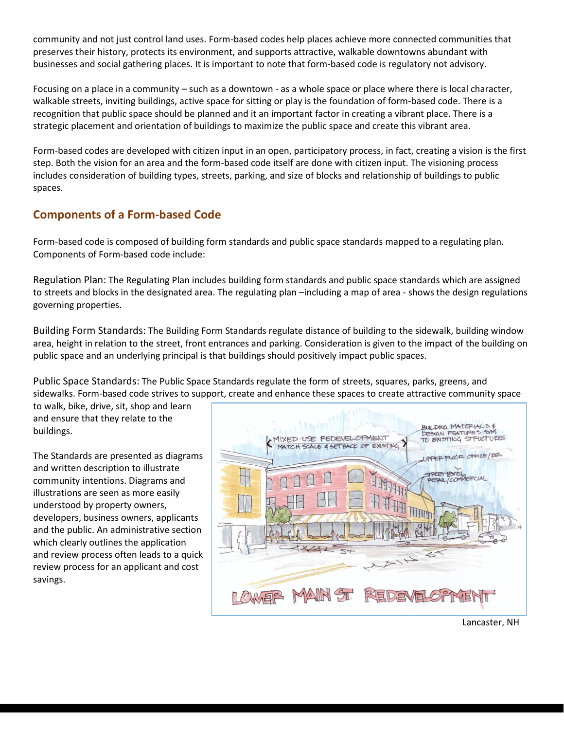community and not just control land uses. Form-based codes help places achieve more connected communities that preserves their history, protects its environment, and supports attractive, walkable downtowns abundant with businesses and social gathering places. It is important to note that form-based code is regulatory not advisory.

Focusing on a place in a community – such as a downtown - as a whole space or place where there is local character, walkable streets, inviting buildings, active space for sitting or play is the foundation of form-based code. There is a recognition that public space should be planned and it an important factor in creating a vibrant place. There is a strategic placement and orientation of buildings to maximize the public space and create this vibrant area.

Form-based codes are developed with citizen input in an open, participatory process, in fact, creating a vision is the first step. Both the vision for an area and the form-based code itself are done with citizen input. The visioning process includes consideration of building types, streets, parking, and size of blocks and relationship of buildings to public spaces.

## **Components of a Form-based Code**

Form-based code is composed of building form standards and public space standards mapped to a regulating plan. Components of Form-based code include:

Regulation Plan: The Regulating Plan includes building form standards and public space standards which are assigned to streets and blocks in the designated area. The regulating plan –including a map of area - shows the design regulations governing properties.

Building Form Standards: The Building Form Standards regulate distance of building to the sidewalk, building window area, height in relation to the street, front entrances and parking. Consideration is given to the impact of the building on public space and an underlying principal is that buildings should positively impact public spaces.

Public Space Standards: The Public Space Standards regulate the form of streets, squares, parks, greens, and sidewalks. Form-based code strives to support, create and enhance these spaces to create attractive community space

to walk, bike, drive, sit, shop and learn and ensure that they relate to the buildings.

The Standards are presented as diagrams and written description to illustrate community intentions. Diagrams and illustrations are seen as more easily understood by property owners, developers, business owners, applicants and the public. An administrative section which clearly outlines the application and review process often leads to a quick review process for an applicant and cost savings.

| BUILDING MATERIALS &<br>DESIGN FEATURES SIM.<br>TO EXISTING STRUCTURES<br>MIXED USE PEDEVELOPMENT<br>JUFFER FLOOR OFFICE/RES.<br>STREET LEVEL<br>PETAIL/COMMERCIAL<br>$5+$<br>$S^{\times}$ |
|--------------------------------------------------------------------------------------------------------------------------------------------------------------------------------------------|
| WER MAIN OF REDEVELOPMENT                                                                                                                                                                  |

Lancaster, NH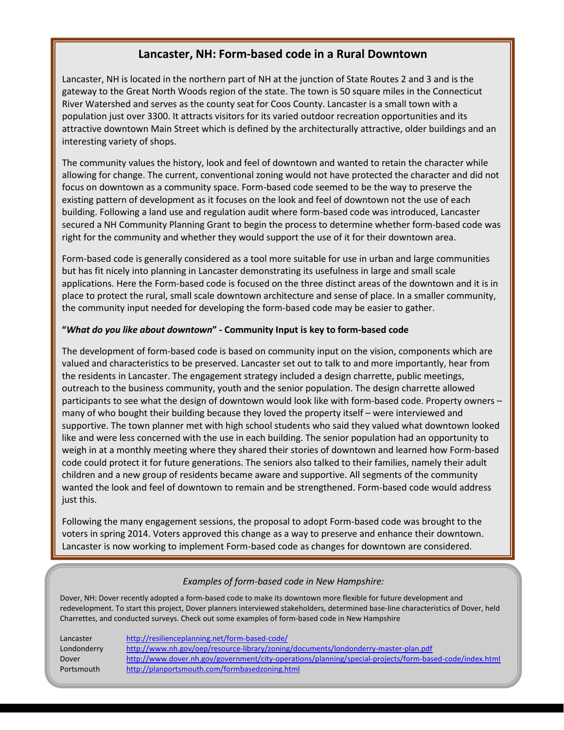## **Lancaster, NH: Form-based code in a Rural Downtown**

Lancaster, NH is located in the northern part of NH at the junction of State Routes 2 and 3 and is the gateway to the Great North Woods region of the state. The town is 50 square miles in the Connecticut River Watershed and serves as the county seat for Coos County. Lancaster is a small town with a population just over 3300. It attracts visitors for its varied outdoor recreation opportunities and its attractive downtown Main Street which is defined by the architecturally attractive, older buildings and an interesting variety of shops.

The community values the history, look and feel of downtown and wanted to retain the character while allowing for change. The current, conventional zoning would not have protected the character and did not focus on downtown as a community space. Form-based code seemed to be the way to preserve the existing pattern of development as it focuses on the look and feel of downtown not the use of each building. Following a land use and regulation audit where form-based code was introduced, Lancaster secured a NH Community Planning Grant to begin the process to determine whether form-based code was right for the community and whether they would support the use of it for their downtown area.

Form-based code is generally considered as a tool more suitable for use in urban and large communities but has fit nicely into planning in Lancaster demonstrating its usefulness in large and small scale applications. Here the Form-based code is focused on the three distinct areas of the downtown and it is in place to protect the rural, small scale downtown architecture and sense of place. In a smaller community, the community input needed for developing the form-based code may be easier to gather.

### **"***What do you like about downtown***" - Community Input is key to form-based code**

The development of form-based code is based on community input on the vision, components which are valued and characteristics to be preserved. Lancaster set out to talk to and more importantly, hear from the residents in Lancaster. The engagement strategy included a design charrette, public meetings, outreach to the business community, youth and the senior population. The design charrette allowed participants to see what the design of downtown would look like with form-based code. Property owners – many of who bought their building because they loved the property itself – were interviewed and supportive. The town planner met with high school students who said they valued what downtown looked like and were less concerned with the use in each building. The senior population had an opportunity to weigh in at a monthly meeting where they shared their stories of downtown and learned how Form-based code could protect it for future generations. The seniors also talked to their families, namely their adult children and a new group of residents became aware and supportive. All segments of the community wanted the look and feel of downtown to remain and be strengthened. Form-based code would address just this.

Following the many engagement sessions, the proposal to adopt Form-based code was brought to the voters in spring 2014. Voters approved this change as a way to preserve and enhance their downtown. Lancaster is now working to implement Form-based code as changes for downtown are considered.

### *Examples of form-based code in New Hampshire:*

Dover, NH: Dover recently adopted a form-based code to make its downtown more flexible for future development and redevelopment. To start this project, Dover planners interviewed stakeholders, determined base-line characteristics of Dover, held Charrettes, and conducted surveys. Check out some examples of form-based code in New Hampshire

| Lancaster   | http://resilienceplanning.net/form-based-code/                                                          |
|-------------|---------------------------------------------------------------------------------------------------------|
| Londonderry | http://www.nh.gov/oep/resource-library/zoning/documents/londonderry-master-plan.pdf                     |
| Dover       | http://www.dover.nh.gov/government/city-operations/planning/special-projects/form-based-code/index.html |
| Portsmouth  | http://planportsmouth.com/formbasedzoning.html                                                          |
|             |                                                                                                         |

Portsmo